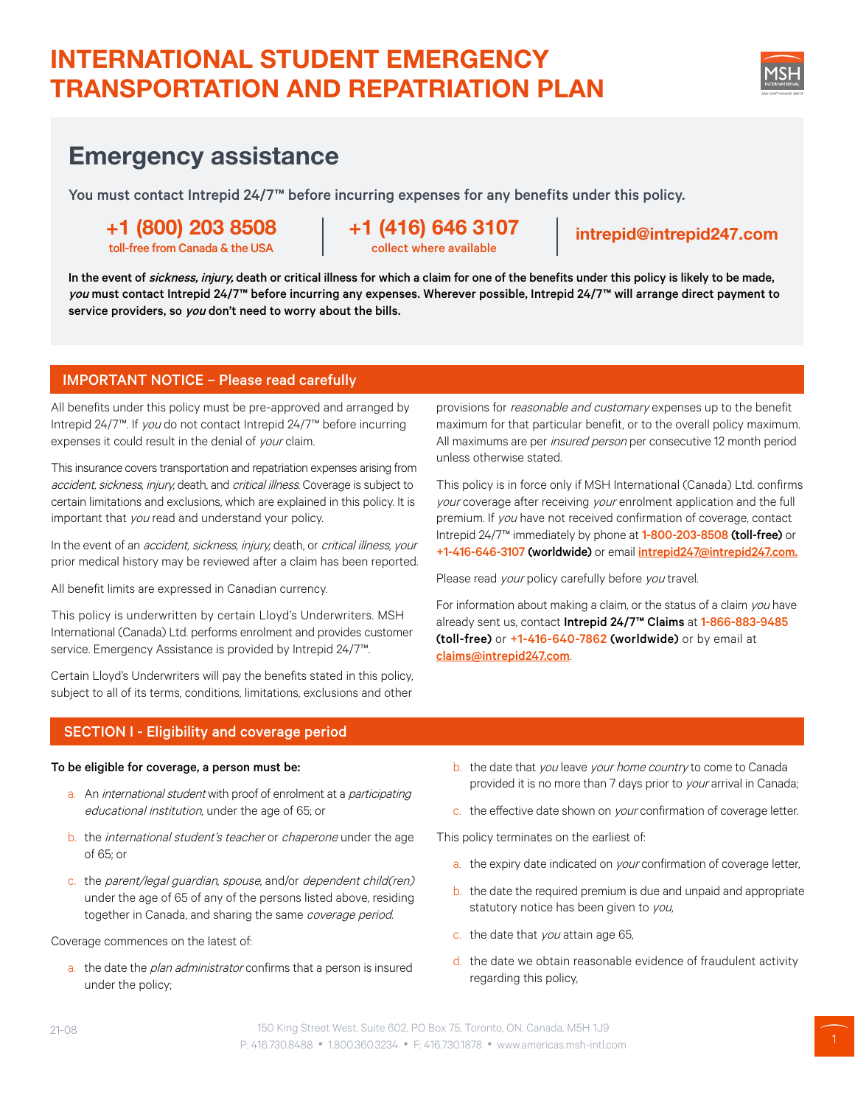# INTERNATIONAL STUDENT EMERGENCY TRANSPORTATION AND REPATRIATION PLAN

# Emergency assistance

You must contact Intrepid 24/7™ before incurring expenses for any benefits under this policy.

# +1 (800) 203 8508

toll-free from Canada & the USA

+1 (416) 646 3107 collect where available

## intrepid@intrepid247.com

In the event of sickness, injury, death or critical illness for which a claim for one of the benefits under this policy is likely to be made, you must contact Intrepid 24/7™ before incurring any expenses. Wherever possible, Intrepid 24/7™ will arrange direct payment to service providers, so you don't need to worry about the bills.

## IMPORTANT NOTICE – Please read carefully

All benefits under this policy must be pre-approved and arranged by Intrepid 24/7™. If you do not contact Intrepid 24/7™ before incurring expenses it could result in the denial of your claim.

This insurance covers transportation and repatriation expenses arising from accident, sickness, injury, death, and critical illness. Coverage is subject to certain limitations and exclusions, which are explained in this policy. It is important that you read and understand your policy.

In the event of an accident, sickness, injury, death, or critical illness, your prior medical history may be reviewed after a claim has been reported.

All benefit limits are expressed in Canadian currency.

This policy is underwritten by certain Lloyd's Underwriters. MSH International (Canada) Ltd. performs enrolment and provides customer service. Emergency Assistance is provided by Intrepid 24/7<sup>™</sup>.

Certain Lloyd's Underwriters will pay the benefits stated in this policy, subject to all of its terms, conditions, limitations, exclusions and other

provisions for reasonable and customary expenses up to the benefit maximum for that particular benefit, or to the overall policy maximum. All maximums are per *insured person* per consecutive 12 month period unless otherwise stated.

This policy is in force only if MSH International (Canada) Ltd. confirms your coverage after receiving your enrolment application and the full premium. If you have not received confirmation of coverage, contact Intrepid 24/7™ immediately by phone at 1-800-203-8508 (toll-free) or +1-416-646-3107 (worldwide) or email intrepid247@intrepid247.com.

Please read your policy carefully before you travel.

For information about making a claim, or the status of a claim you have already sent us, contact Intrepid 24/7™ Claims at 1-866-883-9485 (toll-free) or +1-416-640-7862 (worldwide) or by email at claims@intrepid247.com.

## SECTION I - Eligibility and coverage period

#### To be eligible for coverage, a person must be:

- a. An international student with proof of enrolment at a participating educational institution, under the age of 65; or
- b. the international student's teacher or chaperone under the age of 65; or
- c. the parent/legal guardian, spouse, and/or dependent child(ren) under the age of 65 of any of the persons listed above, residing together in Canada, and sharing the same coverage period.

#### Coverage commences on the latest of:

a. the date the *plan administrator* confirms that a person is insured under the policy;

- b. the date that you leave your home country to come to Canada provided it is no more than 7 days prior to your arrival in Canada;
- c. the effective date shown on *your* confirmation of coverage letter.

This policy terminates on the earliest of:

- a. the expiry date indicated on your confirmation of coverage letter,
- b. the date the required premium is due and unpaid and appropriate statutory notice has been given to you,
- c. the date that you attain age 65,
- d. the date we obtain reasonable evidence of fraudulent activity regarding this policy,

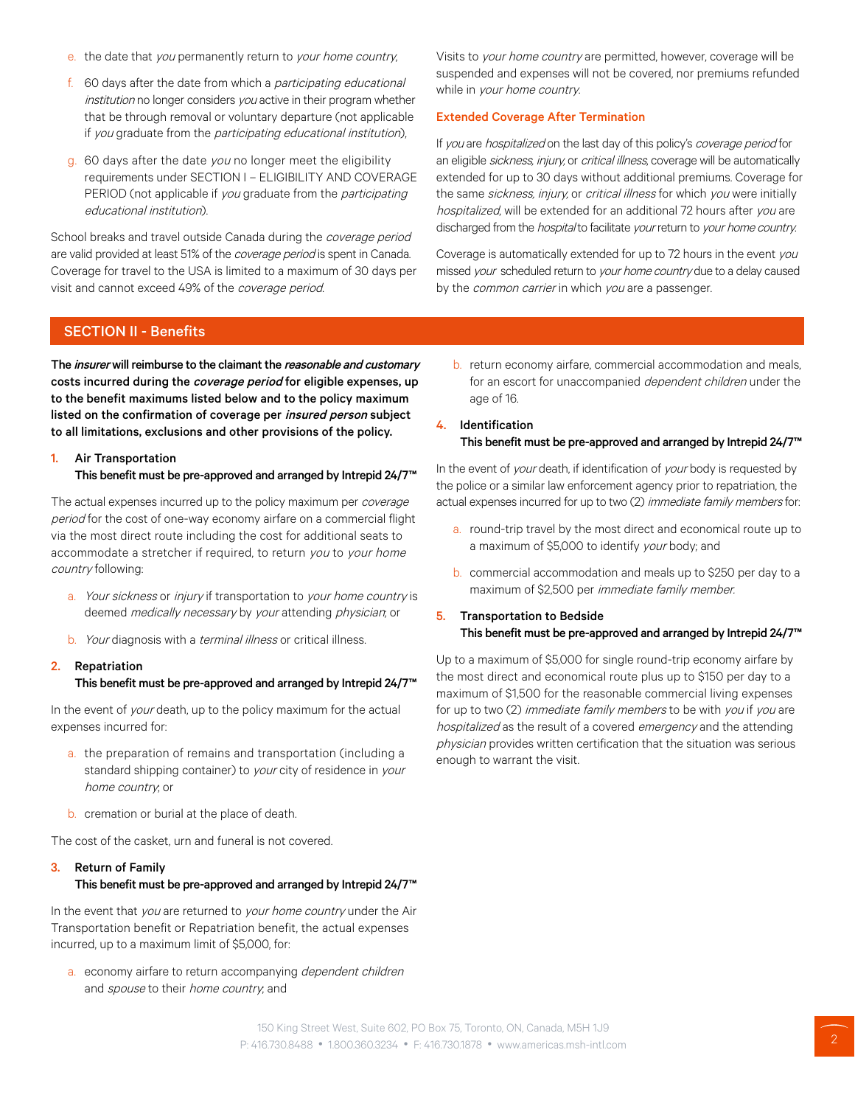- e. the date that you permanently return to your home country,
- f. 60 days after the date from which a participating educational institution no longer considers you active in their program whether that be through removal or voluntary departure (not applicable if you graduate from the participating educational institution),
- g. 60 days after the date you no longer meet the eligibility requirements under SECTION I – ELIGIBILITY AND COVERAGE PERIOD (not applicable if you graduate from the participating educational institution).

School breaks and travel outside Canada during the *coverage period* are valid provided at least 51% of the *coverage period* is spent in Canada. Coverage for travel to the USA is limited to a maximum of 30 days per visit and cannot exceed 49% of the coverage period.

Visits to your home country are permitted, however, coverage will be suspended and expenses will not be covered, nor premiums refunded while in your home country.

#### Extended Coverage After Termination

If you are hospitalized on the last day of this policy's coverage period for an eligible sickness, injury, or critical illness, coverage will be automatically extended for up to 30 days without additional premiums. Coverage for the same sickness, injury, or critical illness for which you were initially hospitalized, will be extended for an additional 72 hours after you are discharged from the *hospital* to facilitate your return to your home country.

Coverage is automatically extended for up to 72 hours in the event you missed your scheduled return to your home country due to a delay caused by the *common carrier* in which you are a passenger.

## SECTION II - Benefits

The *insurer* will reimburse to the claimant the *reasonable and customary* costs incurred during the coverage period for eligible expenses, up to the benefit maximums listed below and to the policy maximum listed on the confirmation of coverage per insured person subject to all limitations, exclusions and other provisions of the policy.

### 1. Air Transportation This benefit must be pre-approved and arranged by Intrepid 24/7™

The actual expenses incurred up to the policy maximum per coverage period for the cost of one-way economy airfare on a commercial flight via the most direct route including the cost for additional seats to accommodate a stretcher if required, to return you to your home country following:

- a. Your sickness or injury if transportation to your home country is deemed medically necessary by your attending physician, or
- b. Your diagnosis with a *terminal illness* or critical illness.
- 2. Repatriation This benefit must be pre-approved and arranged by Intrepid 24/7™

In the event of your death, up to the policy maximum for the actual expenses incurred for:

- a. the preparation of remains and transportation (including a standard shipping container) to your city of residence in your home country; or
- b. cremation or burial at the place of death.

The cost of the casket, urn and funeral is not covered.

## 3. Return of Family This benefit must be pre-approved and arranged by Intrepid 24/7™

In the event that you are returned to your home country under the Air Transportation benefit or Repatriation benefit, the actual expenses incurred, up to a maximum limit of \$5,000, for:

a. economy airfare to return accompanying *dependent children* and spouse to their home country, and

- b. return economy airfare, commercial accommodation and meals, for an escort for unaccompanied *dependent children* under the age of 16.
- 4. Identification This benefit must be pre-approved and arranged by Intrepid 24/7™

In the event of your death, if identification of your body is requested by the police or a similar law enforcement agency prior to repatriation, the actual expenses incurred for up to two (2) immediate family members for:

- a. round-trip travel by the most direct and economical route up to a maximum of \$5,000 to identify your body; and
- b. commercial accommodation and meals up to \$250 per day to a maximum of \$2,500 per immediate family member.

#### 5. Transportation to Bedside This benefit must be pre-approved and arranged by Intrepid 24/7™

Up to a maximum of \$5,000 for single round-trip economy airfare by the most direct and economical route plus up to \$150 per day to a maximum of \$1,500 for the reasonable commercial living expenses for up to two (2) immediate family members to be with you if you are hospitalized as the result of a covered emergency and the attending physician provides written certification that the situation was serious enough to warrant the visit.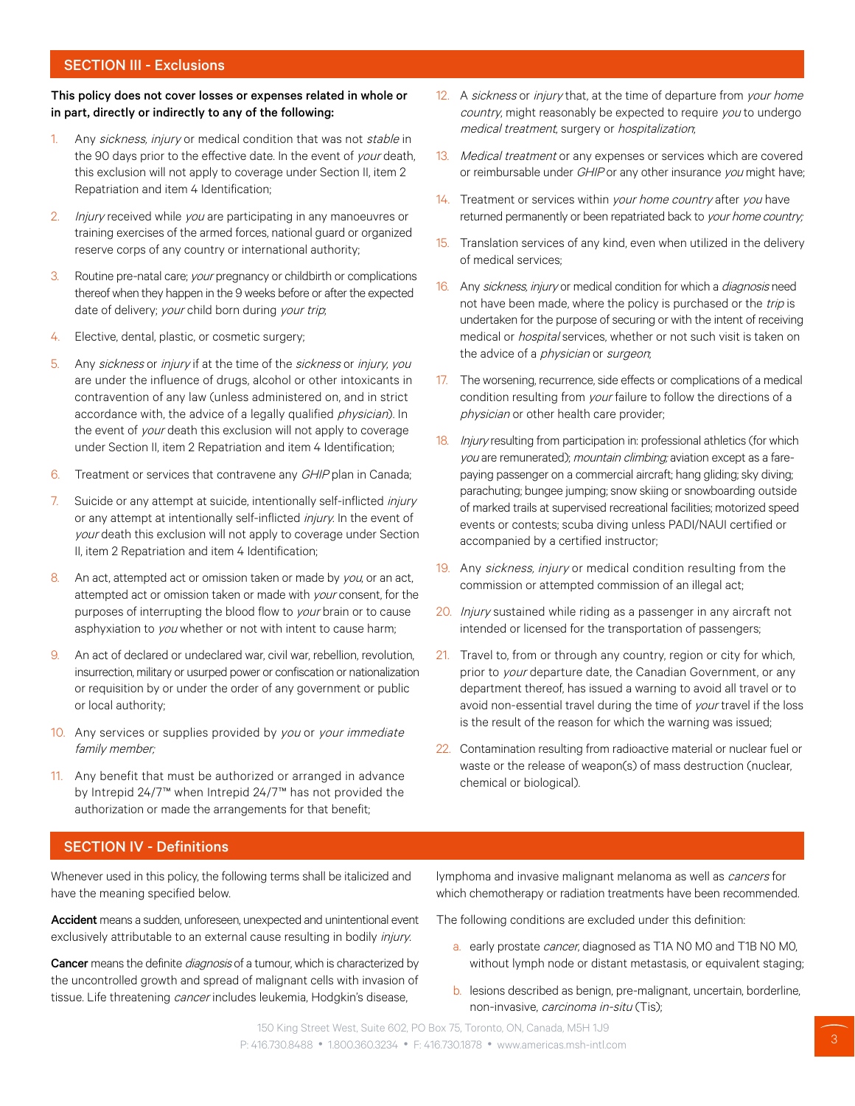## SECTION III - Exclusions

#### This policy does not cover losses or expenses related in whole or in part, directly or indirectly to any of the following:

- 1. Any sickness, injury or medical condition that was not stable in the 90 days prior to the effective date. In the event of your death, this exclusion will not apply to coverage under Section II, item 2 Repatriation and item 4 Identification;
- 2. Injury received while you are participating in any manoeuvres or training exercises of the armed forces, national guard or organized reserve corps of any country or international authority;
- 3. Routine pre-natal care; *your* pregnancy or childbirth or complications thereof when they happen in the 9 weeks before or after the expected date of delivery; your child born during your trip;
- 4. Elective, dental, plastic, or cosmetic surgery;
- 5. Any sickness or injury if at the time of the sickness or injury, you are under the influence of drugs, alcohol or other intoxicants in contravention of any law (unless administered on, and in strict accordance with, the advice of a legally qualified *physician*). In the event of your death this exclusion will not apply to coverage under Section II, item 2 Repatriation and item 4 Identification;
- 6. Treatment or services that contravene any GHIP plan in Canada;
- 7. Suicide or any attempt at suicide, intentionally self-inflicted *injury* or any attempt at intentionally self-inflicted *injury*. In the event of your death this exclusion will not apply to coverage under Section II, item 2 Repatriation and item 4 Identification;
- 8. An act, attempted act or omission taken or made by you, or an act, attempted act or omission taken or made with your consent, for the purposes of interrupting the blood flow to your brain or to cause asphyxiation to you whether or not with intent to cause harm;
- 9. An act of declared or undeclared war, civil war, rebellion, revolution, insurrection, military or usurped power or confiscation or nationalization or requisition by or under the order of any government or public or local authority;
- 10. Any services or supplies provided by you or your immediate family member;
- 11. Any benefit that must be authorized or arranged in advance by Intrepid 24/7™ when Intrepid 24/7™ has not provided the authorization or made the arrangements for that benefit;
- 12. A sickness or injury that, at the time of departure from your home country, might reasonably be expected to require you to undergo medical treatment, surgery or hospitalization;
- 13. Medical treatment or any expenses or services which are covered or reimbursable under GHIP or any other insurance you might have;
- 14. Treatment or services within your home country after you have returned permanently or been repatriated back to your home country;
- 15. Translation services of any kind, even when utilized in the delivery of medical services;
- 16. Any sickness, injury or medical condition for which a *diagnosis* need not have been made, where the policy is purchased or the trip is undertaken for the purpose of securing or with the intent of receiving medical or hospital services, whether or not such visit is taken on the advice of a physician or surgeon;
- 17. The worsening, recurrence, side effects or complications of a medical condition resulting from your failure to follow the directions of a physician or other health care provider;
- 18. *Injury* resulting from participation in: professional athletics (for which you are remunerated); mountain climbing; aviation except as a farepaying passenger on a commercial aircraft; hang gliding; sky diving; parachuting; bungee jumping; snow skiing or snowboarding outside of marked trails at supervised recreational facilities; motorized speed events or contests; scuba diving unless PADI/NAUI certified or accompanied by a certified instructor;
- 19. Any sickness, injury or medical condition resulting from the commission or attempted commission of an illegal act;
- 20. Injury sustained while riding as a passenger in any aircraft not intended or licensed for the transportation of passengers;
- 21. Travel to, from or through any country, region or city for which, prior to your departure date, the Canadian Government, or any department thereof, has issued a warning to avoid all travel or to avoid non-essential travel during the time of your travel if the loss is the result of the reason for which the warning was issued;
- 22. Contamination resulting from radioactive material or nuclear fuel or waste or the release of weapon(s) of mass destruction (nuclear, chemical or biological).

## SECTION IV - Definitions

Whenever used in this policy, the following terms shall be italicized and have the meaning specified below.

Accident means a sudden, unforeseen, unexpected and unintentional event exclusively attributable to an external cause resulting in bodily injury.

Cancer means the definite *diagnosis* of a tumour, which is characterized by the uncontrolled growth and spread of malignant cells with invasion of tissue. Life threatening cancer includes leukemia, Hodgkin's disease,

lymphoma and invasive malignant melanoma as well as *cancers* for which chemotherapy or radiation treatments have been recommended.

The following conditions are excluded under this definition:

- a. early prostate cancer, diagnosed as T1A N0 M0 and T1B N0 M0, without lymph node or distant metastasis, or equivalent staging;
- b. lesions described as benign, pre-malignant, uncertain, borderline, non-invasive, carcinoma in-situ (Tis);

150 King Street West, Suite 602, PO Box 75, Toronto, ON, Canada, M5H 1J9 P: 416.730.8488 • 1.800.360.3234 • F: 416.730.1878 • www.americas.msh-intl.com 3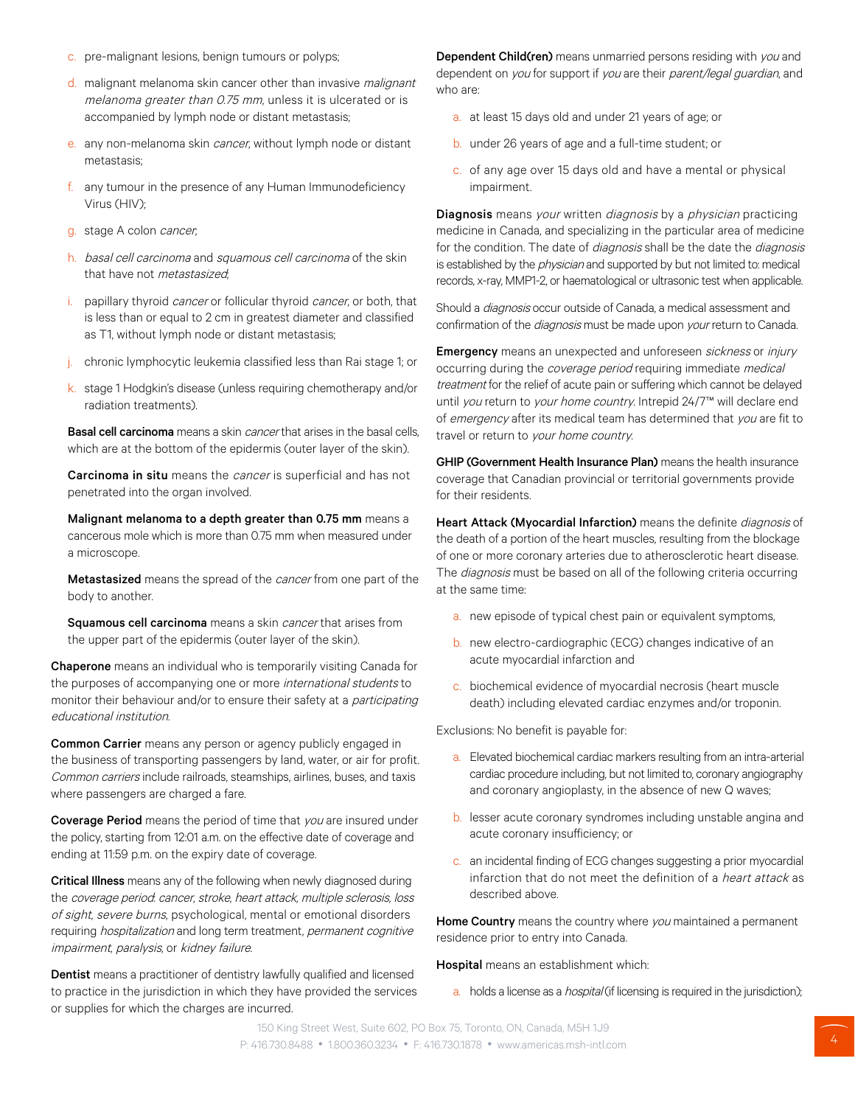- c. pre-malignant lesions, benign tumours or polyps;
- d. malignant melanoma skin cancer other than invasive malignant melanoma greater than 0.75 mm, unless it is ulcerated or is accompanied by lymph node or distant metastasis;
- e. any non-melanoma skin *cancer*, without lymph node or distant metastasis;
- f. any tumour in the presence of any Human Immunodeficiency Virus (HIV);
- g. stage A colon cancer;
- h. basal cell carcinoma and squamous cell carcinoma of the skin that have not *metastasized*.
- i. papillary thyroid cancer or follicular thyroid cancer, or both, that is less than or equal to 2 cm in greatest diameter and classified as T1, without lymph node or distant metastasis;
- j. chronic lymphocytic leukemia classified less than Rai stage 1; or
- k. stage 1 Hodgkin's disease (unless requiring chemotherapy and/or radiation treatments).

Basal cell carcinoma means a skin *cancer* that arises in the basal cells, which are at the bottom of the epidermis (outer layer of the skin).

Carcinoma in situ means the *cancer* is superficial and has not penetrated into the organ involved.

Malignant melanoma to a depth greater than 0.75 mm means a cancerous mole which is more than 0.75 mm when measured under a microscope.

Metastasized means the spread of the *cancer* from one part of the body to another.

Squamous cell carcinoma means a skin *cancer* that arises from the upper part of the epidermis (outer layer of the skin).

Chaperone means an individual who is temporarily visiting Canada for the purposes of accompanying one or more international students to monitor their behaviour and/or to ensure their safety at a *participating* educational institution.

Common Carrier means any person or agency publicly engaged in the business of transporting passengers by land, water, or air for profit. Common carriers include railroads, steamships, airlines, buses, and taxis where passengers are charged a fare.

Coverage Period means the period of time that you are insured under the policy, starting from 12:01 a.m. on the effective date of coverage and ending at 11:59 p.m. on the expiry date of coverage.

Critical Illness means any of the following when newly diagnosed during the coverage period. cancer, stroke, heart attack, multiple sclerosis, loss of sight, severe burns, psychological, mental or emotional disorders requiring hospitalization and long term treatment, permanent cognitive impairment, paralysis, or kidney failure.

Dentist means a practitioner of dentistry lawfully qualified and licensed to practice in the jurisdiction in which they have provided the services or supplies for which the charges are incurred.

Dependent Child(ren) means unmarried persons residing with you and dependent on you for support if you are their parent/legal guardian, and who are:

- a. at least 15 days old and under 21 years of age; or
- b. under 26 years of age and a full-time student; or
- c. of any age over 15 days old and have a mental or physical impairment.

Diagnosis means your written *diagnosis* by a *physician* practicing medicine in Canada, and specializing in the particular area of medicine for the condition. The date of *diagnosis* shall be the date the *diagnosis* is established by the *physician* and supported by but not limited to: medical records, x-ray, MMP1-2, or haematological or ultrasonic test when applicable.

Should a *diagnosis* occur outside of Canada, a medical assessment and confirmation of the *diagnosis* must be made upon your return to Canada.

Emergency means an unexpected and unforeseen sickness or injury occurring during the *coverage period* requiring immediate *medical* treatment for the relief of acute pain or suffering which cannot be delayed until you return to your home country. Intrepid 24/7™ will declare end of emergency after its medical team has determined that you are fit to travel or return to your home country.

GHIP (Government Health Insurance Plan) means the health insurance coverage that Canadian provincial or territorial governments provide for their residents.

Heart Attack (Myocardial Infarction) means the definite diagnosis of the death of a portion of the heart muscles, resulting from the blockage of one or more coronary arteries due to atherosclerotic heart disease. The *diagnosis* must be based on all of the following criteria occurring at the same time:

- a. new episode of typical chest pain or equivalent symptoms,
- b. new electro-cardiographic (ECG) changes indicative of an acute myocardial infarction and
- c. biochemical evidence of myocardial necrosis (heart muscle death) including elevated cardiac enzymes and/or troponin.

Exclusions: No benefit is payable for:

- a. Elevated biochemical cardiac markers resulting from an intra-arterial cardiac procedure including, but not limited to, coronary angiography and coronary angioplasty, in the absence of new Q waves;
- b. lesser acute coronary syndromes including unstable angina and acute coronary insufficiency; or
- c. an incidental finding of ECG changes suggesting a prior myocardial infarction that do not meet the definition of a heart attack as described above.

Home Country means the country where you maintained a permanent residence prior to entry into Canada.

#### Hospital means an establishment which:

a. holds a license as a *hospital* (if licensing is required in the jurisdiction);

150 King Street West, Suite 602, PO Box 75, Toronto, ON, Canada, M5H 1J9 P: 416.730.8488 • 1.800.360.3234 • F: 416.730.1878 • www.americas.msh-intl.com 4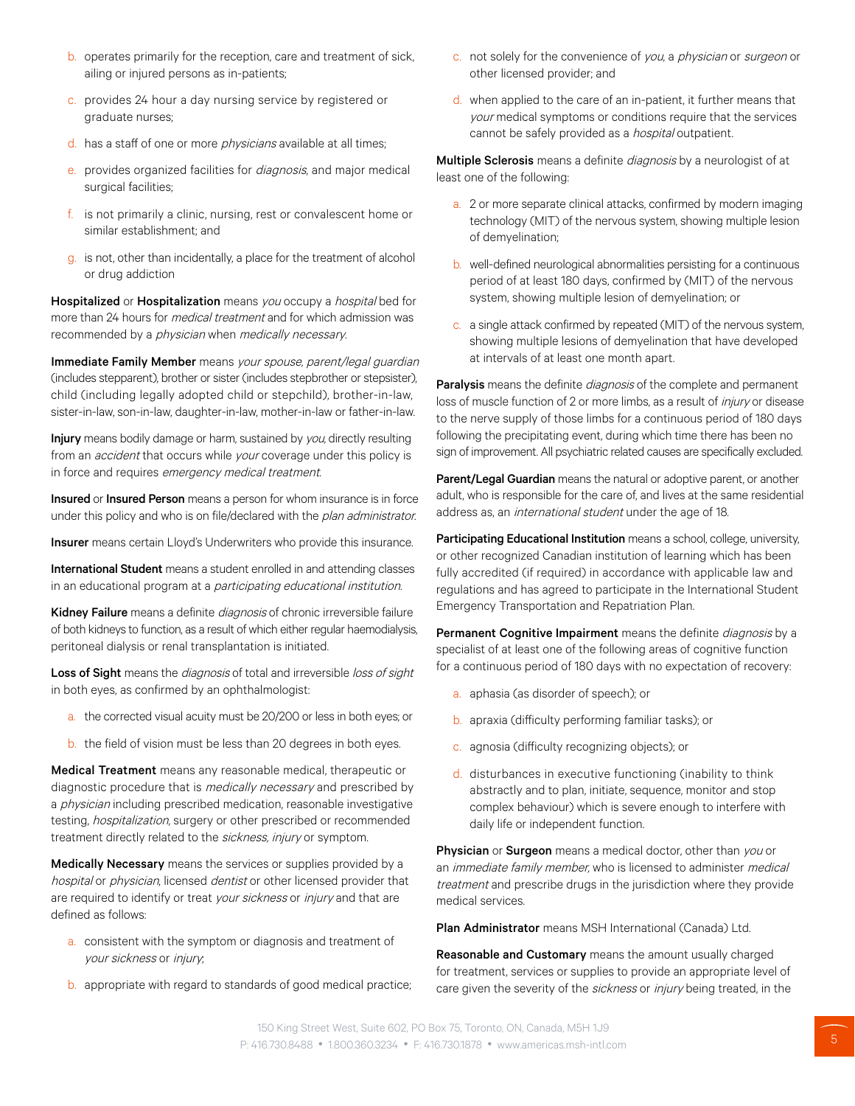- b. operates primarily for the reception, care and treatment of sick, ailing or injured persons as in-patients;
- c. provides 24 hour a day nursing service by registered or graduate nurses;
- d. has a staff of one or more *physicians* available at all times;
- e. provides organized facilities for diagnosis, and major medical surgical facilities;
- f. is not primarily a clinic, nursing, rest or convalescent home or similar establishment; and
- g. is not, other than incidentally, a place for the treatment of alcohol or drug addiction

Hospitalized or Hospitalization means you occupy a hospital bed for more than 24 hours for *medical treatment* and for which admission was recommended by a *physician* when *medically necessary*.

Immediate Family Member means your spouse, parent/legal guardian (includes stepparent), brother or sister (includes stepbrother or stepsister), child (including legally adopted child or stepchild), brother-in-law, sister-in-law, son-in-law, daughter-in-law, mother-in-law or father-in-law.

Injury means bodily damage or harm, sustained by you, directly resulting from an *accident* that occurs while your coverage under this policy is in force and requires emergency medical treatment.

Insured or Insured Person means a person for whom insurance is in force under this policy and who is on file/declared with the plan administrator.

Insurer means certain Lloyd's Underwriters who provide this insurance.

International Student means a student enrolled in and attending classes in an educational program at a *participating educational institution.* 

Kidney Failure means a definite *diagnosis* of chronic irreversible failure of both kidneys to function, as a result of which either regular haemodialysis, peritoneal dialysis or renal transplantation is initiated.

Loss of Sight means the diagnosis of total and irreversible loss of sight in both eyes, as confirmed by an ophthalmologist:

- a. the corrected visual acuity must be 20/200 or less in both eyes; or
- b. the field of vision must be less than 20 degrees in both eyes.

Medical Treatment means any reasonable medical, therapeutic or diagnostic procedure that is *medically necessary* and prescribed by a *physician* including prescribed medication, reasonable investigative testing, hospitalization, surgery or other prescribed or recommended treatment directly related to the sickness, injury or symptom.

Medically Necessary means the services or supplies provided by a hospital or physician, licensed dentist or other licensed provider that are required to identify or treat your sickness or injury and that are defined as follows:

- a. consistent with the symptom or diagnosis and treatment of your sickness or injury;
- b. appropriate with regard to standards of good medical practice;
- c. not solely for the convenience of you, a physician or surgeon or other licensed provider; and
- d. when applied to the care of an in-patient, it further means that your medical symptoms or conditions require that the services cannot be safely provided as a *hospital* outpatient.

Multiple Sclerosis means a definite *diagnosis* by a neurologist of at least one of the following:

- a. 2 or more separate clinical attacks, confirmed by modern imaging technology (MIT) of the nervous system, showing multiple lesion of demyelination;
- b. well-defined neurological abnormalities persisting for a continuous period of at least 180 days, confirmed by (MIT) of the nervous system, showing multiple lesion of demyelination; or
- c. a single attack confirmed by repeated (MIT) of the nervous system, showing multiple lesions of demyelination that have developed at intervals of at least one month apart.

Paralysis means the definite diagnosis of the complete and permanent loss of muscle function of 2 or more limbs, as a result of *injury* or disease to the nerve supply of those limbs for a continuous period of 180 days following the precipitating event, during which time there has been no sign of improvement. All psychiatric related causes are specifically excluded.

Parent/Legal Guardian means the natural or adoptive parent, or another adult, who is responsible for the care of, and lives at the same residential address as, an international student under the age of 18.

Participating Educational Institution means a school, college, university, or other recognized Canadian institution of learning which has been fully accredited (if required) in accordance with applicable law and regulations and has agreed to participate in the International Student Emergency Transportation and Repatriation Plan.

Permanent Cognitive Impairment means the definite *diagnosis* by a specialist of at least one of the following areas of cognitive function for a continuous period of 180 days with no expectation of recovery:

- a. aphasia (as disorder of speech); or
- b. apraxia (difficulty performing familiar tasks); or
- c. agnosia (difficulty recognizing objects); or
- d. disturbances in executive functioning (inability to think abstractly and to plan, initiate, sequence, monitor and stop complex behaviour) which is severe enough to interfere with daily life or independent function.

Physician or Surgeon means a medical doctor, other than you or an *immediate family member*, who is licensed to administer *medical* treatment and prescribe drugs in the jurisdiction where they provide medical services.

Plan Administrator means MSH International (Canada) Ltd.

Reasonable and Customary means the amount usually charged for treatment, services or supplies to provide an appropriate level of care given the severity of the sickness or injury being treated, in the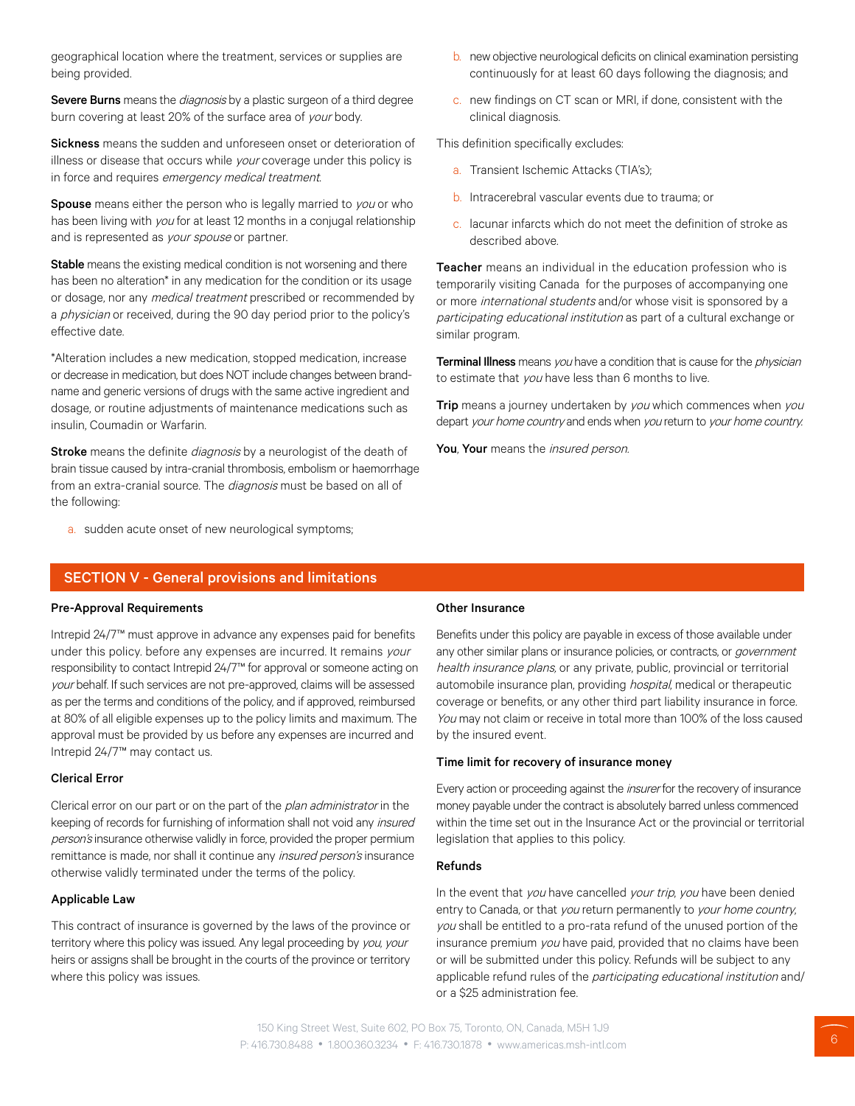geographical location where the treatment, services or supplies are being provided.

Severe Burns means the diagnosis by a plastic surgeon of a third degree burn covering at least 20% of the surface area of your body.

Sickness means the sudden and unforeseen onset or deterioration of illness or disease that occurs while your coverage under this policy is in force and requires emergency medical treatment.

Spouse means either the person who is legally married to you or who has been living with you for at least 12 months in a conjugal relationship and is represented as your spouse or partner.

Stable means the existing medical condition is not worsening and there has been no alteration<sup>\*</sup> in any medication for the condition or its usage or dosage, nor any medical treatment prescribed or recommended by a *physician* or received, during the 90 day period prior to the policy's effective date.

\*Alteration includes a new medication, stopped medication, increase or decrease in medication, but does NOT include changes between brandname and generic versions of drugs with the same active ingredient and dosage, or routine adjustments of maintenance medications such as insulin, Coumadin or Warfarin.

Stroke means the definite diagnosis by a neurologist of the death of brain tissue caused by intra-cranial thrombosis, embolism or haemorrhage from an extra-cranial source. The *diagnosis* must be based on all of the following:

a. sudden acute onset of new neurological symptoms;

### SECTION V - General provisions and limitations

#### Pre-Approval Requirements

Intrepid 24/7™ must approve in advance any expenses paid for benefits under this policy. before any expenses are incurred. It remains your responsibility to contact Intrepid 24/7™ for approval or someone acting on your behalf. If such services are not pre-approved, claims will be assessed as per the terms and conditions of the policy, and if approved, reimbursed at 80% of all eligible expenses up to the policy limits and maximum. The approval must be provided by us before any expenses are incurred and Intrepid 24/7™ may contact us.

#### Clerical Error

Clerical error on our part or on the part of the plan administrator in the keeping of records for furnishing of information shall not void any *insured* person's insurance otherwise validly in force, provided the proper permium remittance is made, nor shall it continue any *insured person's* insurance otherwise validly terminated under the terms of the policy.

#### Applicable Law

This contract of insurance is governed by the laws of the province or territory where this policy was issued. Any legal proceeding by you, your heirs or assigns shall be brought in the courts of the province or territory where this policy was issues.

- b. new objective neurological deficits on clinical examination persisting continuously for at least 60 days following the diagnosis; and
- c. new findings on CT scan or MRI, if done, consistent with the clinical diagnosis.

This definition specifically excludes:

- a. Transient Ischemic Attacks (TIA's);
- b. Intracerebral vascular events due to trauma; or
- c. lacunar infarcts which do not meet the definition of stroke as described above.

Teacher means an individual in the education profession who is temporarily visiting Canada for the purposes of accompanying one or more international students and/or whose visit is sponsored by a participating educational institution as part of a cultural exchange or similar program.

Terminal Illness means you have a condition that is cause for the *physician* to estimate that you have less than 6 months to live.

Trip means a journey undertaken by you which commences when you depart your home country and ends when you return to your home country.

You, Your means the *insured person.* 

#### Other Insurance

Benefits under this policy are payable in excess of those available under any other similar plans or insurance policies, or contracts, or *government* health insurance plans, or any private, public, provincial or territorial automobile insurance plan, providing hospital, medical or therapeutic coverage or benefits, or any other third part liability insurance in force. You may not claim or receive in total more than 100% of the loss caused by the insured event.

#### Time limit for recovery of insurance money

Every action or proceeding against the *insurer* for the recovery of insurance money payable under the contract is absolutely barred unless commenced within the time set out in the Insurance Act or the provincial or territorial legislation that applies to this policy.

#### Refunds

In the event that you have cancelled your trip, you have been denied entry to Canada, or that you return permanently to your home country. you shall be entitled to a pro-rata refund of the unused portion of the insurance premium you have paid, provided that no claims have been or will be submitted under this policy. Refunds will be subject to any applicable refund rules of the participating educational institution and/ or a \$25 administration fee.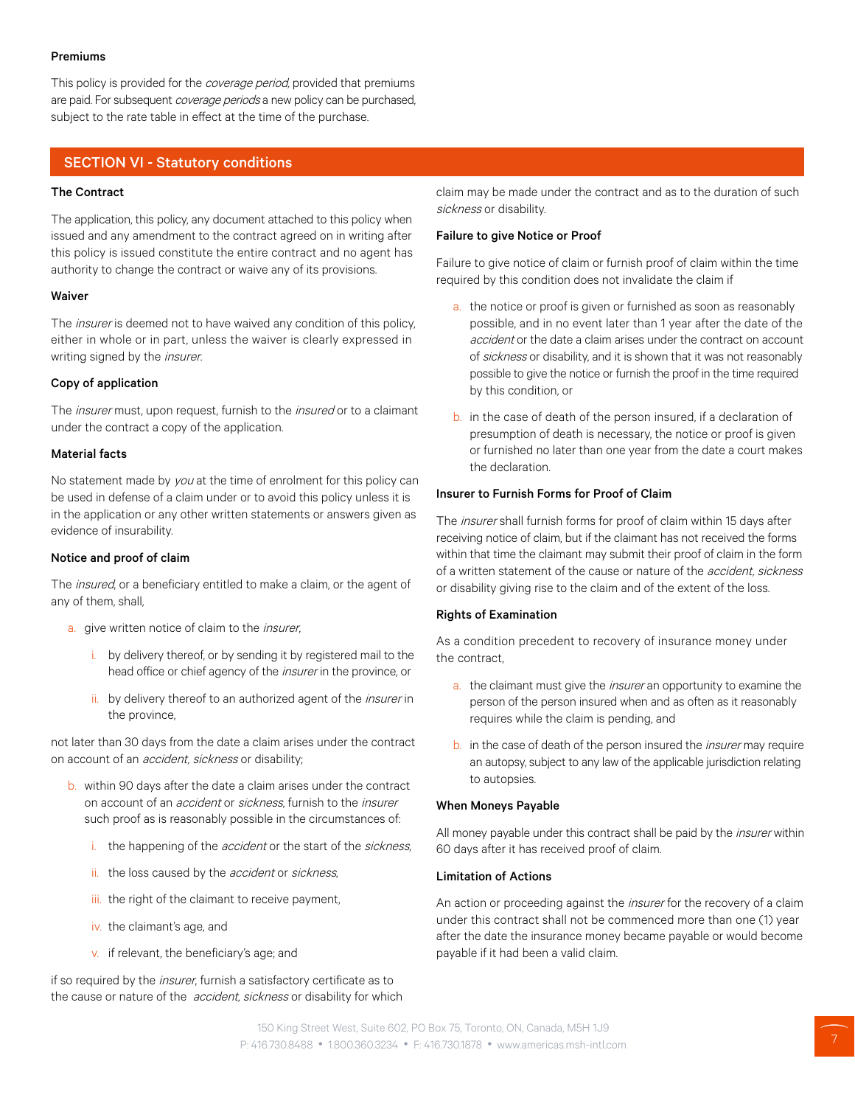#### Premiums

This policy is provided for the coverage period, provided that premiums are paid. For subsequent coverage periods a new policy can be purchased, subject to the rate table in effect at the time of the purchase.

## SECTION VI - Statutory conditions

## The Contract

The application, this policy, any document attached to this policy when issued and any amendment to the contract agreed on in writing after this policy is issued constitute the entire contract and no agent has authority to change the contract or waive any of its provisions.

#### Waiver

The insurer is deemed not to have waived any condition of this policy, either in whole or in part, unless the waiver is clearly expressed in writing signed by the *insurer*.

#### Copy of application

The *insurer* must, upon request, furnish to the *insured* or to a claimant under the contract a copy of the application.

#### Material facts

No statement made by you at the time of enrolment for this policy can be used in defense of a claim under or to avoid this policy unless it is in the application or any other written statements or answers given as evidence of insurability.

#### Notice and proof of claim

The *insured*, or a beneficiary entitled to make a claim, or the agent of any of them, shall,

- a. give written notice of claim to the *insurer*,
	- i. by delivery thereof, or by sending it by registered mail to the head office or chief agency of the *insurer* in the province, or
	- ii. by delivery thereof to an authorized agent of the *insurer* in the province,

not later than 30 days from the date a claim arises under the contract on account of an *accident, sickness* or disability;

- b. within 90 days after the date a claim arises under the contract on account of an accident or sickness, furnish to the insurer such proof as is reasonably possible in the circumstances of:
	- i. the happening of the *accident* or the start of the *sickness*,
	- ii. the loss caused by the *accident* or sickness,
	- iii. the right of the claimant to receive payment,
	- iv. the claimant's age, and
	- v. if relevant, the beneficiary's age; and

if so required by the *insurer*, furnish a satisfactory certificate as to the cause or nature of the *accident, sickness* or disability for which claim may be made under the contract and as to the duration of such sickness or disability.

#### Failure to give Notice or Proof

Failure to give notice of claim or furnish proof of claim within the time required by this condition does not invalidate the claim if

- a. the notice or proof is given or furnished as soon as reasonably possible, and in no event later than 1 year after the date of the accident or the date a claim arises under the contract on account of sickness or disability, and it is shown that it was not reasonably possible to give the notice or furnish the proof in the time required by this condition, or
- b. in the case of death of the person insured, if a declaration of presumption of death is necessary, the notice or proof is given or furnished no later than one year from the date a court makes the declaration.

#### Insurer to Furnish Forms for Proof of Claim

The insurer shall furnish forms for proof of claim within 15 days after receiving notice of claim, but if the claimant has not received the forms within that time the claimant may submit their proof of claim in the form of a written statement of the cause or nature of the *accident, sickness* or disability giving rise to the claim and of the extent of the loss.

#### Rights of Examination

As a condition precedent to recovery of insurance money under the contract,

- a. the claimant must give the *insurer* an opportunity to examine the person of the person insured when and as often as it reasonably requires while the claim is pending, and
- b. in the case of death of the person insured the *insurer* may require an autopsy, subject to any law of the applicable jurisdiction relating to autopsies.

#### When Moneys Payable

All money payable under this contract shall be paid by the *insurer* within 60 days after it has received proof of claim.

#### Limitation of Actions

An action or proceeding against the *insurer* for the recovery of a claim under this contract shall not be commenced more than one (1) year after the date the insurance money became payable or would become payable if it had been a valid claim.